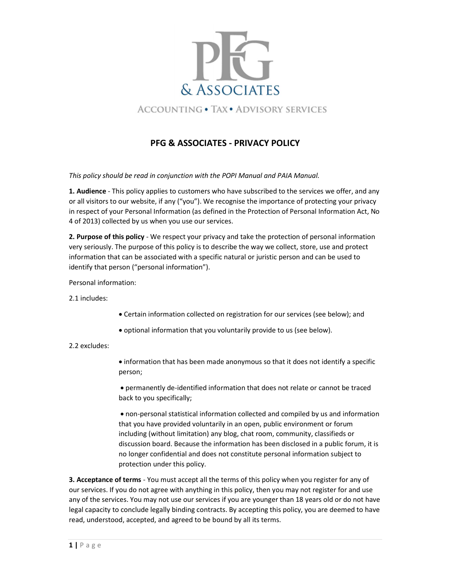

## PFG & ASSOCIATES - PRIVACY POLICY

This policy should be read in conjunction with the POPI Manual and PAIA Manual.

1. Audience - This policy applies to customers who have subscribed to the services we offer, and any or all visitors to our website, if any ("you"). We recognise the importance of protecting your privacy in respect of your Personal Information (as defined in the Protection of Personal Information Act, No 4 of 2013) collected by us when you use our services.

2. Purpose of this policy - We respect your privacy and take the protection of personal information very seriously. The purpose of this policy is to describe the way we collect, store, use and protect information that can be associated with a specific natural or juristic person and can be used to identify that person ("personal information").

Personal information:

2.1 includes:

- Certain information collected on registration for our services (see below); and
- optional information that you voluntarily provide to us (see below).

### 2.2 excludes:

 information that has been made anonymous so that it does not identify a specific person;

 permanently de-identified information that does not relate or cannot be traced back to you specifically;

 non-personal statistical information collected and compiled by us and information that you have provided voluntarily in an open, public environment or forum including (without limitation) any blog, chat room, community, classifieds or discussion board. Because the information has been disclosed in a public forum, it is no longer confidential and does not constitute personal information subject to protection under this policy.

3. Acceptance of terms - You must accept all the terms of this policy when you register for any of our services. If you do not agree with anything in this policy, then you may not register for and use any of the services. You may not use our services if you are younger than 18 years old or do not have legal capacity to conclude legally binding contracts. By accepting this policy, you are deemed to have read, understood, accepted, and agreed to be bound by all its terms.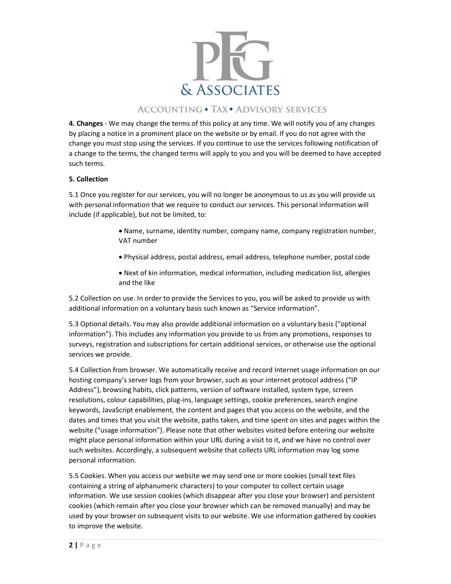

## **ACCOUNTING . TAX . ADVISORY SERVICES**

4. Changes - We may change the terms of this policy at any time. We will notify you of any changes by placing a notice in a prominent place on the website or by email. If you do not agree with the change you must stop using the services. If you continue to use the services following notification of a change to the terms, the changed terms will apply to you and you will be deemed to have accepted such terms.

### 5. Collection

5.1 Once you register for our services, you will no longer be anonymous to us as you will provide us with personal information that we require to conduct our services. This personal information will include (if applicable), but not be limited, to:

- Name, surname, identity number, company name, company registration number, VAT number
- Physical address, postal address, email address, telephone number, postal code
- Next of kin information, medical information, including medication list, allergies and the like

5.2 Collection on use. In order to provide the Services to you, you will be asked to provide us with additional information on a voluntary basis such known as "Service information".

5.3 Optional details. You may also provide additional information on a voluntary basis ("optional information"). This includes any information you provide to us from any promotions, responses to surveys, registration and subscriptions for certain additional services, or otherwise use the optional services we provide.

5.4 Collection from browser. We automatically receive and record Internet usage information on our hosting company's server logs from your browser, such as your internet protocol address ("IP Address"), browsing habits, click patterns, version of software installed, system type, screen resolutions, colour capabilities, plug-ins, language settings, cookie preferences, search engine keywords, JavaScript enablement, the content and pages that you access on the website, and the dates and times that you visit the website, paths taken, and time spent on sites and pages within the website ("usage information"). Please note that other websites visited before entering our website might place personal information within your URL during a visit to it, and we have no control over such websites. Accordingly, a subsequent website that collects URL information may log some personal information.

5.5 Cookies. When you access our website we may send one or more cookies (small text files containing a string of alphanumeric characters) to your computer to collect certain usage information. We use session cookies (which disappear after you close your browser) and persistent cookies (which remain after you close your browser which can be removed manually) and may be used by your browser on subsequent visits to our website. We use information gathered by cookies to improve the website.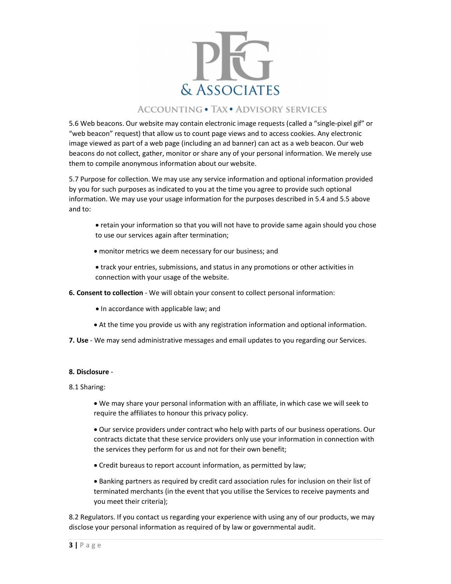

## **ACCOUNTING . TAX . ADVISORY SERVICES**

5.6 Web beacons. Our website may contain electronic image requests (called a "single-pixel gif" or "web beacon" request) that allow us to count page views and to access cookies. Any electronic image viewed as part of a web page (including an ad banner) can act as a web beacon. Our web beacons do not collect, gather, monitor or share any of your personal information. We merely use them to compile anonymous information about our website.

5.7 Purpose for collection. We may use any service information and optional information provided by you for such purposes as indicated to you at the time you agree to provide such optional information. We may use your usage information for the purposes described in 5.4 and 5.5 above and to:

- retain your information so that you will not have to provide same again should you chose to use our services again after termination;
- monitor metrics we deem necessary for our business; and
- track your entries, submissions, and status in any promotions or other activities in connection with your usage of the website.
- 6. Consent to collection We will obtain your consent to collect personal information:
	- In accordance with applicable law; and
	- At the time you provide us with any registration information and optional information.
- 7. Use We may send administrative messages and email updates to you regarding our Services.

### 8. Disclosure -

- 8.1 Sharing:
	- We may share your personal information with an affiliate, in which case we will seek to require the affiliates to honour this privacy policy.
	- Our service providers under contract who help with parts of our business operations. Our contracts dictate that these service providers only use your information in connection with the services they perform for us and not for their own benefit;
	- Credit bureaus to report account information, as permitted by law;
	- Banking partners as required by credit card association rules for inclusion on their list of terminated merchants (in the event that you utilise the Services to receive payments and you meet their criteria);

8.2 Regulators. If you contact us regarding your experience with using any of our products, we may disclose your personal information as required of by law or governmental audit.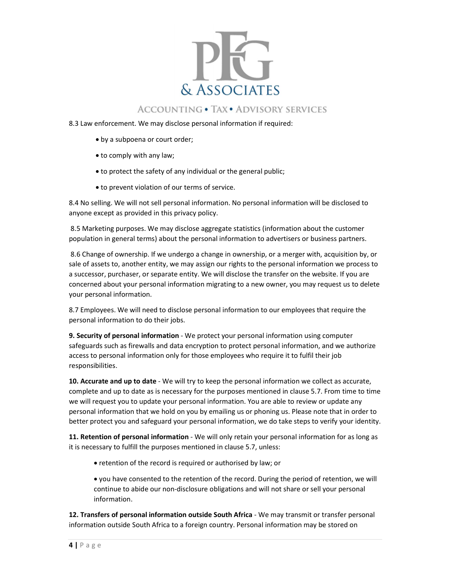

## **ACCOUNTING . TAX . ADVISORY SERVICES**

- 8.3 Law enforcement. We may disclose personal information if required:
	- by a subpoena or court order;
	- to comply with any law;
	- to protect the safety of any individual or the general public;
	- $\bullet$  to prevent violation of our terms of service.

8.4 No selling. We will not sell personal information. No personal information will be disclosed to anyone except as provided in this privacy policy.

 8.5 Marketing purposes. We may disclose aggregate statistics (information about the customer population in general terms) about the personal information to advertisers or business partners.

 8.6 Change of ownership. If we undergo a change in ownership, or a merger with, acquisition by, or sale of assets to, another entity, we may assign our rights to the personal information we process to a successor, purchaser, or separate entity. We will disclose the transfer on the website. If you are concerned about your personal information migrating to a new owner, you may request us to delete your personal information.

8.7 Employees. We will need to disclose personal information to our employees that require the personal information to do their jobs.

9. Security of personal information - We protect your personal information using computer safeguards such as firewalls and data encryption to protect personal information, and we authorize access to personal information only for those employees who require it to fulfil their job responsibilities.

10. Accurate and up to date - We will try to keep the personal information we collect as accurate, complete and up to date as is necessary for the purposes mentioned in clause 5.7. From time to time we will request you to update your personal information. You are able to review or update any personal information that we hold on you by emailing us or phoning us. Please note that in order to better protect you and safeguard your personal information, we do take steps to verify your identity.

11. Retention of personal information - We will only retain your personal information for as long as it is necessary to fulfill the purposes mentioned in clause 5.7, unless:

- retention of the record is required or authorised by law; or
- you have consented to the retention of the record. During the period of retention, we will continue to abide our non-disclosure obligations and will not share or sell your personal information.

12. Transfers of personal information outside South Africa - We may transmit or transfer personal information outside South Africa to a foreign country. Personal information may be stored on